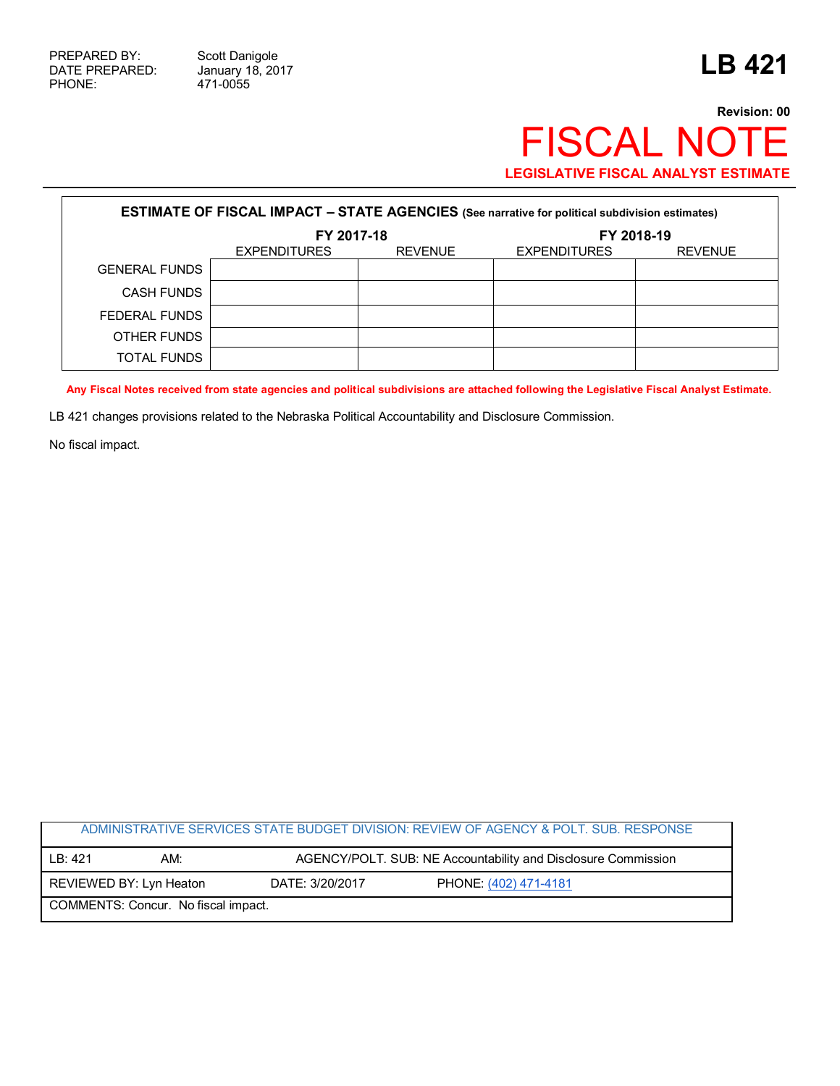## **Revision: 00** FISCAL NOTE **LEGISLATIVE FISCAL ANALYST ESTIMATE**

| <b>ESTIMATE OF FISCAL IMPACT - STATE AGENCIES</b> (See narrative for political subdivision estimates) |                     |                |                     |                |  |
|-------------------------------------------------------------------------------------------------------|---------------------|----------------|---------------------|----------------|--|
|                                                                                                       | FY 2017-18          |                | FY 2018-19          |                |  |
|                                                                                                       | <b>EXPENDITURES</b> | <b>REVENUE</b> | <b>EXPENDITURES</b> | <b>REVENUE</b> |  |
| <b>GENERAL FUNDS</b>                                                                                  |                     |                |                     |                |  |
| <b>CASH FUNDS</b>                                                                                     |                     |                |                     |                |  |
| FEDERAL FUNDS                                                                                         |                     |                |                     |                |  |
| OTHER FUNDS                                                                                           |                     |                |                     |                |  |
| <b>TOTAL FUNDS</b>                                                                                    |                     |                |                     |                |  |

**Any Fiscal Notes received from state agencies and political subdivisions are attached following the Legislative Fiscal Analyst Estimate.**

LB 421 changes provisions related to the Nebraska Political Accountability and Disclosure Commission.

No fiscal impact.

|                                     |                         |                                                               | ADMINISTRATIVE SERVICES STATE BUDGET DIVISION: REVIEW OF AGENCY & POLT. SUB. RESPONSE |  |
|-------------------------------------|-------------------------|---------------------------------------------------------------|---------------------------------------------------------------------------------------|--|
| IB: 421                             | AM:                     | AGENCY/POLT. SUB: NE Accountability and Disclosure Commission |                                                                                       |  |
|                                     | REVIEWED BY: Lyn Heaton | DATE: 3/20/2017                                               | PHONE: (402) 471-4181                                                                 |  |
| COMMENTS: Concur. No fiscal impact. |                         |                                                               |                                                                                       |  |